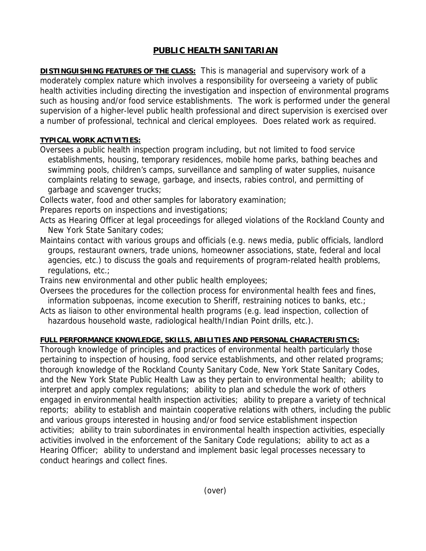# **PUBLIC HEALTH SANITARIAN**

**DISTINGUISHING FEATURES OF THE CLASS:** This is managerial and supervisory work of a moderately complex nature which involves a responsibility for overseeing a variety of public health activities including directing the investigation and inspection of environmental programs such as housing and/or food service establishments. The work is performed under the general supervision of a higher-level public health professional and direct supervision is exercised over a number of professional, technical and clerical employees. Does related work as required.

### **TYPICAL WORK ACTIVITIES:**

- Oversees a public health inspection program including, but not limited to food service establishments, housing, temporary residences, mobile home parks, bathing beaches and swimming pools, children's camps, surveillance and sampling of water supplies, nuisance complaints relating to sewage, garbage, and insects, rabies control, and permitting of garbage and scavenger trucks;
- Collects water, food and other samples for laboratory examination;
- Prepares reports on inspections and investigations;
- Acts as Hearing Officer at legal proceedings for alleged violations of the Rockland County and New York State Sanitary codes;
- Maintains contact with various groups and officials (e.g. news media, public officials, landlord groups, restaurant owners, trade unions, homeowner associations, state, federal and local agencies, etc.) to discuss the goals and requirements of program-related health problems, regulations, etc.;
- Trains new environmental and other public health employees;
- Oversees the procedures for the collection process for environmental health fees and fines, information subpoenas, income execution to Sheriff, restraining notices to banks, etc.;
- Acts as liaison to other environmental health programs (e.g. lead inspection, collection of hazardous household waste, radiological health/Indian Point drills, etc.).

## **FULL PERFORMANCE KNOWLEDGE, SKILLS, ABILITIES AND PERSONAL CHARACTERISTICS:**

Thorough knowledge of principles and practices of environmental health particularly those pertaining to inspection of housing, food service establishments, and other related programs; thorough knowledge of the Rockland County Sanitary Code, New York State Sanitary Codes, and the New York State Public Health Law as they pertain to environmental health; ability to interpret and apply complex regulations; ability to plan and schedule the work of others engaged in environmental health inspection activities; ability to prepare a variety of technical reports; ability to establish and maintain cooperative relations with others, including the public and various groups interested in housing and/or food service establishment inspection activities; ability to train subordinates in environmental health inspection activities, especially activities involved in the enforcement of the Sanitary Code regulations; ability to act as a Hearing Officer; ability to understand and implement basic legal processes necessary to conduct hearings and collect fines.